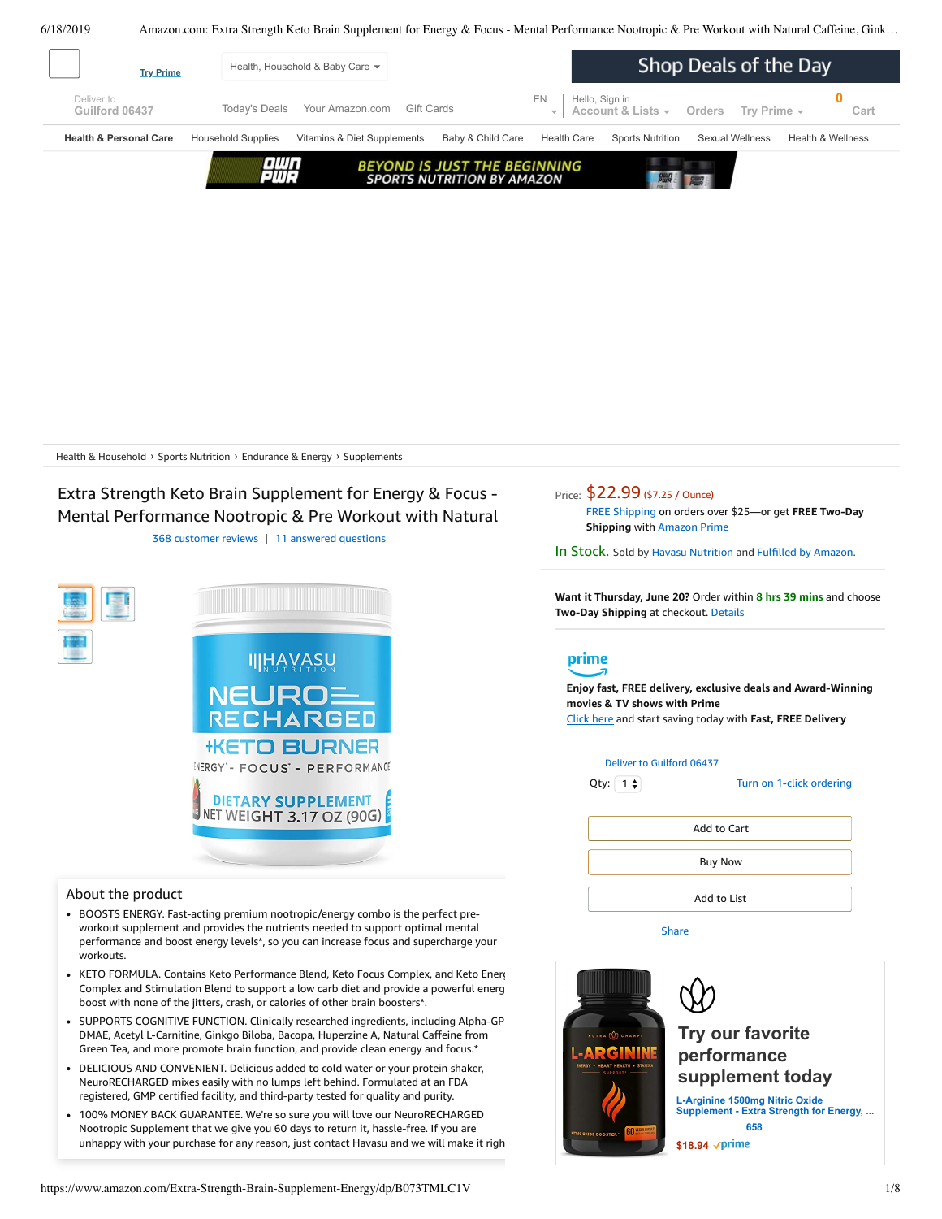6/18/2019 Amazon.com: Extra Strength Keto Brain Supplement for Energy & Focus - Mental Performance Nootropic & Pre Workout with Natural Caffeine, Gink…

<span id="page-0-0"></span>

Health & [Household](https://www.amazon.com/health-personal-care-nutrition-fitness/b/ref=dp_bc_aui_C_1?ie=UTF8&node=3760901) > Sports [Nutrition](https://www.amazon.com/Sports-Nutrition/b/ref=dp_bc_aui_C_2?ie=UTF8&node=6973663011) > [Endurance](https://www.amazon.com/Sports-Nutrition-Endurance-Energy-Products/b/ref=dp_bc_aui_C_3?ie=UTF8&node=6973669011) & Energy > [Supplements](https://www.amazon.com/Sports-Nutrition-Endurance-Energy-Supplements/b/ref=dp_bc_aui_C_4?ie=UTF8&node=6973678011)

# Extra Strength Keto Brain Supplement for Energy & Focus - Mental Performance Nootropic & Pre Workout with Natural

368 [customer](#page-4-0) reviews | 11 answered [questions](#page-4-1)



### About the product

- BOOSTS ENERGY. Fast-acting premium nootropic/energy combo is the perfect preworkout supplement and provides the nutrients needed to support optimal mental performance and boost energy levels\*, so you can increase focus and supercharge your workouts.
- KETO FORMULA. Contains Keto Performance Blend, Keto Focus Complex, and Keto Energ Complex and Stimulation Blend to support a low carb diet and provide a powerful energ boost with none of the jitters, crash, or calories of other brain boosters\*.
- SUPPORTS COGNITIVE FUNCTION. Clinically researched ingredients, including Alpha-GP DMAE, Acetyl L-Carnitine, Ginkgo Biloba, Bacopa, Huperzine A, Natural Caffeine from Green Tea, and more promote brain function, and provide clean energy and focus.\*
- DELICIOUS AND CONVENIENT. Delicious added to cold water or your protein shaker, [NeuroRECHARGED](https://www.amazon.com/gp/redirect.html/ref=amb_link_1?_encoding=UTF8&location=https%3A%2F%2Fwww.amazon.com%2Fb%3Fnode%3D17904040011&source=standards&token=BE1FBDC111DBAC62750B07A4AFAFEF6D1A082253&pf_rd_m=ATVPDKIKX0DER&pf_rd_s=product-alert&pf_rd_r=3F67GSM03DZ3XKY5VJN0&pf_rd_r=3F67GSM03DZ3XKY5VJN0&pf_rd_t=201&pf_rd_p=daeb3cfd-e4e6-41c2-9f54-b460e6d1a06e&pf_rd_p=daeb3cfd-e4e6-41c2-9f54-b460e6d1a06e&pf_rd_i=B07RKY72PG) mixes easily with no lumps left behind. Formulated at an FDA registered, GMP certified facility, and third-party tested for quality and purity.
- unhappy with your purchase for any reason, just contact Havasu and we will make it righ 100% MONEY BACK GUARANTEE. We're so sure you will love our NeuroRECHARGED Nootropic Supplement that we give you 60 days to return it, hassle-free. If you are

Price: \$22.99 (\$7.25 / Ounce) FREE [Shipping](javascript:void(0)) on orders over \$25—or get **FREE Two-Day Shipping** with [Amazon](https://www.amazon.com/gp/prime/pipeline/signup.html?ref=primedp_ventures_desktopBelowThreshold&primeCampaignId=primedp_ventures_desktopBelowThreshold) Prime

In Stock. Sold by Havasu [Nutrition](https://www.amazon.com/gp/help/seller/at-a-glance.html/ref=dp_merchant_link?ie=UTF8&seller=A2A6DNK56T4OQ4&isAmazonFulfilled=1) and Fulfilled by [Amazon.](https://www.amazon.com/gp/help/customer/display.html?ie=UTF8&ref=dp_fulfillment&nodeId=106096011)

**Want it Thursday, June 20?** Order within **8 hrs 39 mins** and choose **Two-Day Shipping** at checkout. [Details](https://www.amazon.com/gp/help/customer/display.html/ref=ftinfo_dp_?ie=UTF8&nodeId=3510241&pop-up=1)

# prime

**Enjoy fast, FREE delivery, exclusive deals and Award-Winning movies & TV shows with Prime** Click here and start saving today with **Fast, FREE Delivery**



[Share](mailto:?body=I%20want%20to%20recommend%20this%20product%20at%20Amazon.com%0A%0AExtra%20Strength%20Keto%20Brain%20Supplement%20for%20Energy%20%26%20Focus%20-%20Mental%20Performance%20Nootropic%20%26%20Pre%20Workout%20with%20Natural%20Caffeine%2C%20Ginkgo%20Biloba%20%26%20More%20-%20No%20Crash%2C%20No%20Jitters%20Brain%20Booster%20Stack%203.17%20oz%0Aby%20Havasu%20Nutrition%0ALearn%20more%3A%20https%3A%2F%2Fwww.amazon.com%2Fdp%2FB07RKY72PG%2Fref%3Dcm_sw_em_r_mt_dp_U_uKtcDb36GM3ZX&subject=I%20want%20to%20recommend%20this%20product%20on%20Amazon)

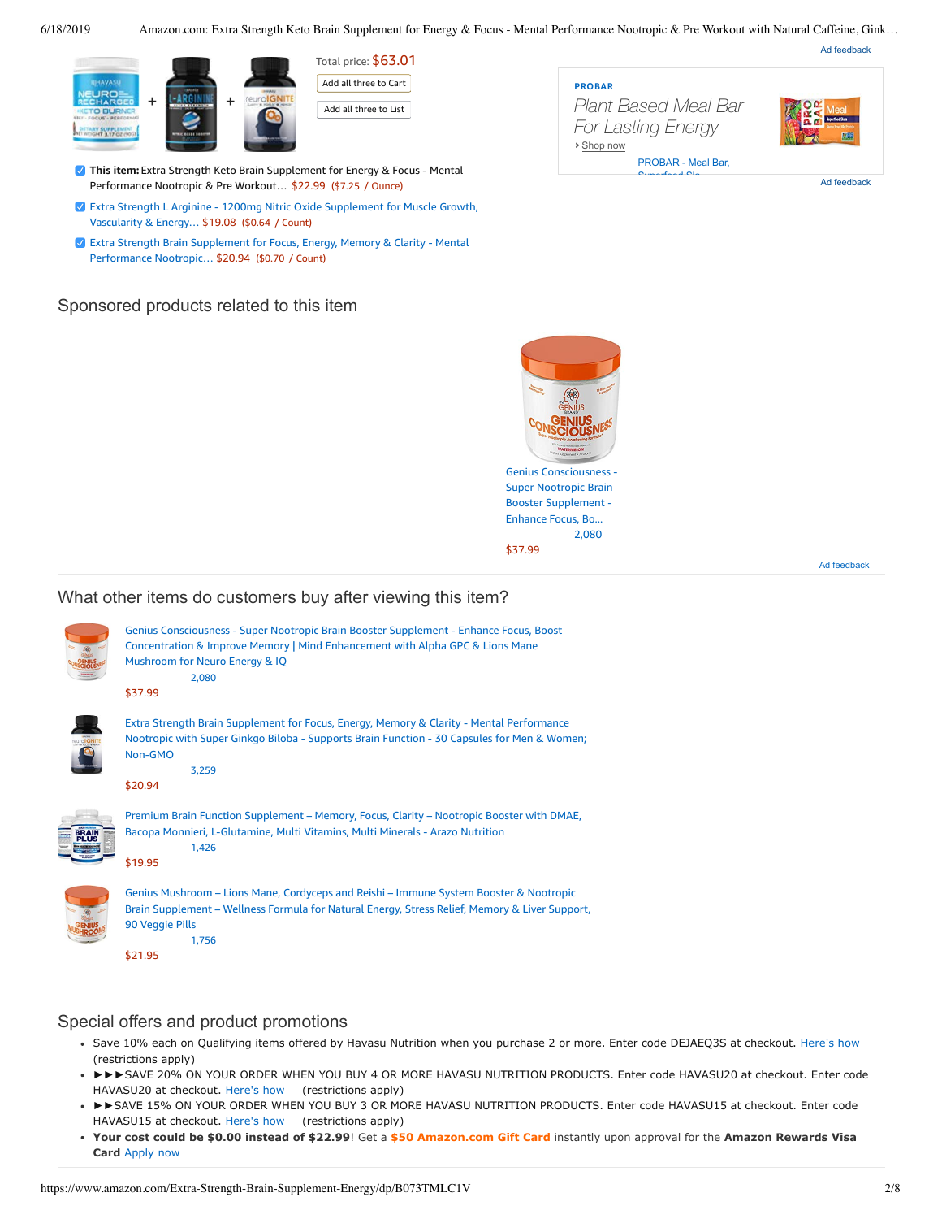6/18/2019 Amazon.com: Extra Strength Keto Brain Supplement for Energy & Focus - Mental Performance Nootropic & Pre Workout with Natural Caffeine, Gink…

Ad feedback



Total price: \$63.01 Add all three to Cart

Add all three to List

- **This item:** Extra Strength Keto Brain Supplement for Energy & Focus Mental Performance Nootropic & Pre Workout… \$22.99 (\$7.25 / Ounce)
- Extra Strength L Arginine 1200mg Nitric Oxide [Supplement](https://www.amazon.com/Extra-Strength-Arginine-Vascularity-L-Citrulline/dp/B01MS461VC/ref=pd_bxgy_121_2/143-6729050-3493109?_encoding=UTF8&pd_rd_i=B01MS461VC&pd_rd_r=e3c39638-91fd-11e9-abb5-d1b44b8297c8&pd_rd_w=6jn97&pd_rd_wg=gywgV&pf_rd_p=a2006322-0bc0-4db9-a08e-d168c18ce6f0&pf_rd_r=3F67GSM03DZ3XKY5VJN0&psc=1&refRID=3F67GSM03DZ3XKY5VJN0) for Muscle Growth, Vascularity & Energy… \$19.08 (\$0.64 / Count)
- Extra Strength Brain Supplement for Focus, Energy, Memory & Clarity Mental [Performance](https://www.amazon.com/Havasu-Nutrition-Strength-Supplement-Clarity/dp/B01J46SZUW/ref=pd_bxgy_121_3/143-6729050-3493109?_encoding=UTF8&pd_rd_i=B01J46SZUW&pd_rd_r=e3c39638-91fd-11e9-abb5-d1b44b8297c8&pd_rd_w=6jn97&pd_rd_wg=gywgV&pf_rd_p=a2006322-0bc0-4db9-a08e-d168c18ce6f0&pf_rd_r=3F67GSM03DZ3XKY5VJN0&psc=1&refRID=3F67GSM03DZ3XKY5VJN0) Nootropic… \$20.94 (\$0.70 / Count)

## Sponsored products related to this item



Ad feedback



Ad feedback

## What other items do customers buy after viewing this item?



| Genius Consciousness - Super Nootropic Brain Booster Supplement - Enhance Focus, Boost<br>Concentration & Improve Memory   Mind Enhancement with Alpha GPC & Lions Mane                                                |
|------------------------------------------------------------------------------------------------------------------------------------------------------------------------------------------------------------------------|
| Mushroom for Neuro Energy & IQ                                                                                                                                                                                         |
| 2,080                                                                                                                                                                                                                  |
| \$37.99                                                                                                                                                                                                                |
| Extra Strength Brain Supplement for Focus, Energy, Memory & Clarity - Mental Performance<br>Nootropic with Super Ginkgo Biloba - Supports Brain Function - 30 Capsules for Men & Women;<br>Non-GMO<br>3.259<br>\$20.94 |
| Premium Brain Function Supplement - Memory, Focus, Clarity - Nootropic Booster with DMAE,<br>Bacopa Monnieri, L-Glutamine, Multi Vitamins, Multi Minerals - Arazo Nutrition<br>1.426<br>\$19.95                        |



Genius Mushroom – Lions Mane, Cordyceps and Reishi – Immune System Booster & Nootropic Brain [Supplement](https://www.amazon.com/Genius-Mushroom-Cordyceps-Nootropic-Supplement/dp/B078SJ9F5S/ref=pd_cp_121_4?pd_rd_w=CwxHK&pf_rd_p=ef4dc990-a9ca-4945-ae0b-f8d549198ed6&pf_rd_r=3F67GSM03DZ3XKY5VJN0&pd_rd_r=e3c39638-91fd-11e9-abb5-d1b44b8297c8&pd_rd_wg=gywgV&pd_rd_i=B078SJ9F5S&psc=1&refRID=3F67GSM03DZ3XKY5VJN0) – Wellness Formula for Natural Energy, Stress Relief, Memory & Liver Support, 90 Veggie Pills [1,756](https://www.amazon.com/product-reviews/B078SJ9F5S/ref=pd_cp_121_4?pd_rd_w=CwxHK&pf_rd_p=ef4dc990-a9ca-4945-ae0b-f8d549198ed6&pf_rd_r=3F67GSM03DZ3XKY5VJN0&pd_rd_r=e3c39638-91fd-11e9-abb5-d1b44b8297c8&pd_rd_wg=gywgV&pd_rd_i=B078SJ9F5S&refRID=3F67GSM03DZ3XKY5VJN0)

[\\$21.95](https://www.amazon.com/Genius-Mushroom-Cordyceps-Nootropic-Supplement/dp/B078SJ9F5S/ref=pd_cp_121_4?pd_rd_w=CwxHK&pf_rd_p=ef4dc990-a9ca-4945-ae0b-f8d549198ed6&pf_rd_r=3F67GSM03DZ3XKY5VJN0&pd_rd_r=e3c39638-91fd-11e9-abb5-d1b44b8297c8&pd_rd_wg=gywgV&pd_rd_i=B078SJ9F5S&psc=1&refRID=3F67GSM03DZ3XKY5VJN0)

## Special offers and product promotions

- Save 10% each on Qualifying items offered by Havasu Nutrition when you purchase 2 or more. Enter code DEJAEQ3S at checkout. [Here's how](javascript:void(0))  (restrictions apply)
- ►►►SAVE 20% ON YOUR ORDER WHEN YOU BUY 4 OR MORE HAVASU NUTRITION PRODUCTS. Enter code HAVASU20 at checkout. Enter code HAVASU20 at checkout. [Here's how](javascript:void(0))  (restrictions apply)
- ►►SAVE 15% ON YOUR ORDER WHEN YOU BUY 3 OR MORE HAVASU NUTRITION PRODUCTS. Enter code HAVASU15 at checkout. Enter code HAVASU15 at checkout. [Here's how](javascript:void(0))  (restrictions apply)
- **[Your cost could be \\$0.00 instead of \\$22.99](https://www.amazon.com/gp/cobrandcard/marketing.html?pr=con321&inc=50gcUnrec&ts=byzyxgrcw0nk134zk3m4jx5ki11hrpr&dasin=B07RKY72PG&plattr=math&place=detailpage&imp=e9fdd819-b4cd-4189-9f9f-f071a9f84896)**! Get a **\$50 Amazon.com Gift Card** instantly upon approval for the **Amazon Rewards Visa Card** Apply now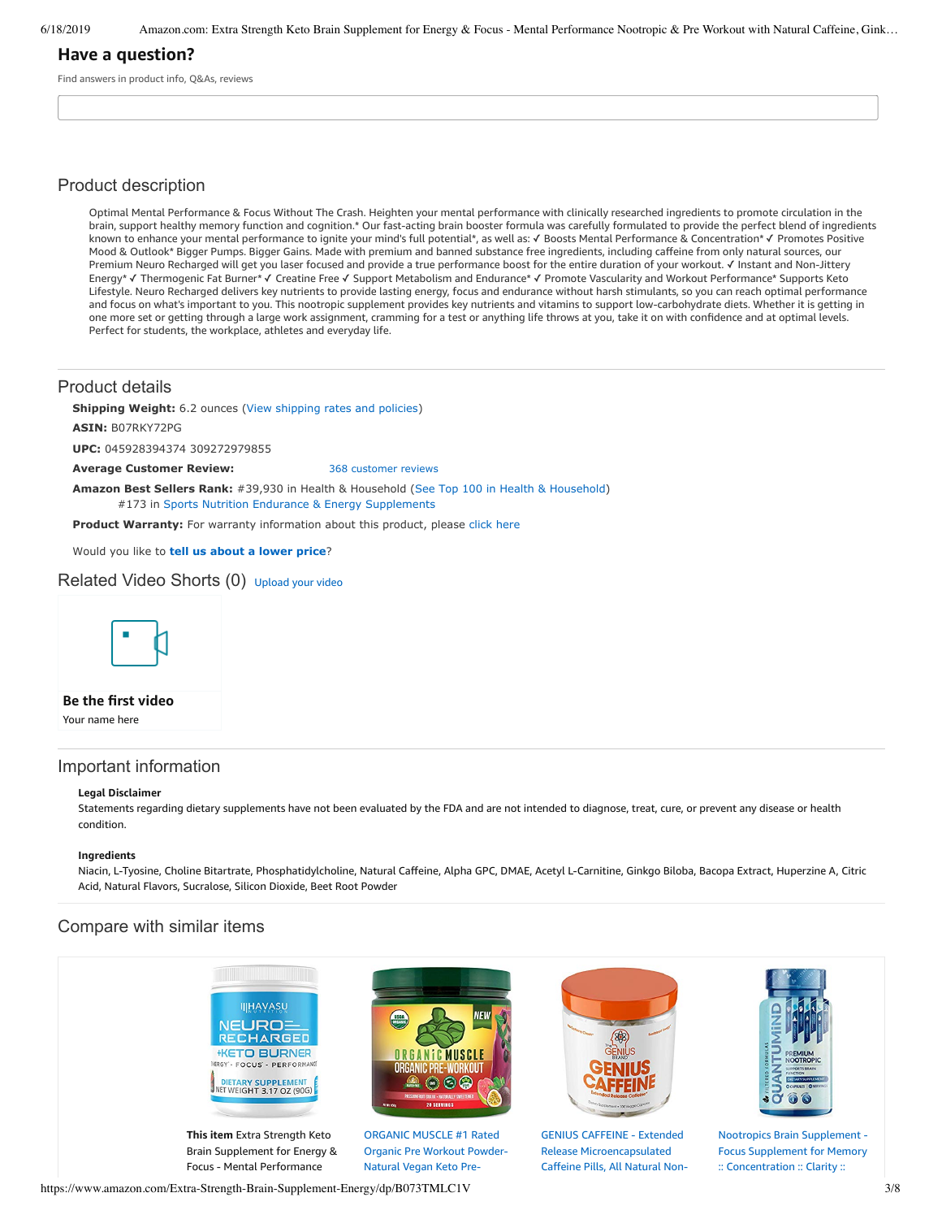6/18/2019 Amazon.com: Extra Strength Keto Brain Supplement for Energy & Focus - Mental Performance Nootropic & Pre Workout with Natural Caffeine, Gink…

## **Have a question?**

Find answers in product info, Q&As, reviews

### Product description

Optimal Mental Performance & Focus Without The Crash. Heighten your mental performance with clinically researched ingredients to promote circulation in the brain, support healthy memory function and cognition.\* Our fast-acting brain booster formula was carefully formulated to provide the perfect blend of ingredients known to enhance your mental performance to ignite your mind's full potential\*, as well as: ✓ Boosts Mental Performance & Concentration\* ✓ Promotes Positive Mood & Outlook\* Bigger Pumps. Bigger Gains. Made with premium and banned substance free ingredients, including caffeine from only natural sources, our Premium Neuro Recharged will get you laser focused and provide a true performance boost for the entire duration of your workout. √ Instant and Non-Jittery Energy\* ✓ Thermogenic Fat Burner\* ✓ Creatine Free ✓ Support Metabolism and Endurance\* ✓ Promote Vascularity and Workout Performance\* Supports Keto Lifestyle. Neuro Recharged delivers key nutrients to provide lasting energy, focus and endurance without harsh stimulants, so you can reach optimal performance and focus on what's important to you. This nootropic supplement provides key nutrients and vitamins to support low-carbohydrate diets. Whether it is getting in one more set or getting through a large work assignment, cramming for a test or anything life throws at you, take it on with confidence and at optimal levels. Perfect for students, the workplace, athletes and everyday life.

### Product details

**Shipping Weight:** 6.2 ounces [\(View shipping rates and policies\)](https://www.amazon.com/gp/help/seller/shipping.html/ref=dp_pd_shipping?ie=UTF8&asin=B07RKY72PG&seller=ATVPDKIKX0DER)

**ASIN:** B07RKY72PG

**UPC:** 045928394374 309272979855

**Average Customer Review:** [368 customer reviews](https://www.amazon.com/product-reviews/B07RKY72PG/ref=acr_dpproductdetail_text?ie=UTF8&showViewpoints=1)

**Amazon Best Sellers Rank:** #39,930 in Health & Household ([See Top 100 in Health & Household\)](https://www.amazon.com/gp/bestsellers/hpc/ref=pd_zg_ts_hpc) #173 in [Sports Nutrition Endurance & Energy Supplements](https://www.amazon.com/gp/bestsellers/hpc/6973678011/ref=pd_zg_hrsr_hpc)

**Product Warranty:** For warranty information about this product, please [click here](https://www.amazon.com/gp/feature.html/ref=dp_warranty_request_3P?ie=UTF8&docId=1002406021)

Would you like to **tell us about a lower price**?

Related Video Shorts (0) [Upload](https://www.amazon.com/creatorhub/video/upload?productASIN=B07RKY72PG&referringURL=ZHAvQjA3UktZNzJQRw%3D%3D&ref=RVSW) your video



**Be the first video**

Your name here

### Important information

#### **Legal Disclaimer**

Statements regarding dietary supplements have not been evaluated by the FDA and are not intended to diagnose, treat, cure, or prevent any disease or health condition.

#### **Ingredients**

Niacin, L-Tyosine, Choline Bitartrate, Phosphatidylcholine, Natural Caffeine, Alpha GPC, DMAE, Acetyl L-Carnitine, Ginkgo Biloba, Bacopa Extract, Huperzine A, Citric Acid, Natural Flavors, Sucralose, Silicon Dioxide, Beet Root Powder

## Compare with similar items



https://www.amazon.com/Extra-Strength-Brain-Supplement-Energy/dp/B073TMLC1V 3/8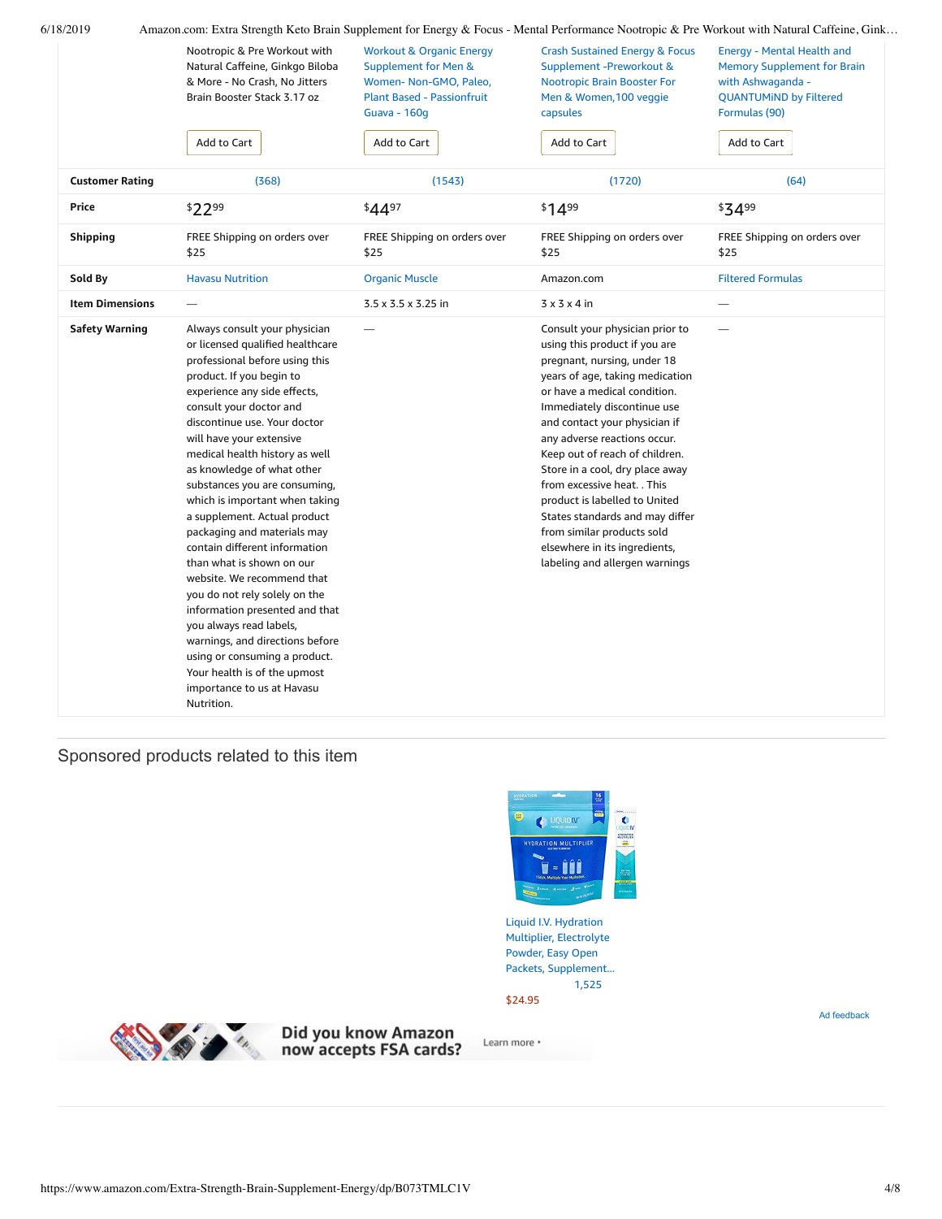|                        | Nootropic & Pre Workout with<br>Natural Caffeine, Ginkgo Biloba<br>& More - No Crash, No Jitters<br>Brain Booster Stack 3.17 oz<br>Add to Cart                                                                                                                                                                                                                                                                                                                                                                                                                                                                                                                                                                                                                                                     | <b>Workout &amp; Organic Energy</b><br><b>Supplement for Men &amp;</b><br>Women-Non-GMO, Paleo,<br><b>Plant Based - Passionfruit</b><br><b>Guava - 160g</b><br>Add to Cart | <b>Crash Sustained Energy &amp; Focus</b><br>Supplement -Preworkout &<br><b>Nootropic Brain Booster For</b><br>Men & Women, 100 veggie<br>capsules<br>Add to Cart                                                                                                                                                                                                                                                                                                                                                                           | <b>Energy - Mental Health and</b><br><b>Memory Supplement for Brain</b><br>with Ashwaganda -<br><b>QUANTUMIND by Filtered</b><br>Formulas (90)<br>Add to Cart |
|------------------------|----------------------------------------------------------------------------------------------------------------------------------------------------------------------------------------------------------------------------------------------------------------------------------------------------------------------------------------------------------------------------------------------------------------------------------------------------------------------------------------------------------------------------------------------------------------------------------------------------------------------------------------------------------------------------------------------------------------------------------------------------------------------------------------------------|----------------------------------------------------------------------------------------------------------------------------------------------------------------------------|---------------------------------------------------------------------------------------------------------------------------------------------------------------------------------------------------------------------------------------------------------------------------------------------------------------------------------------------------------------------------------------------------------------------------------------------------------------------------------------------------------------------------------------------|---------------------------------------------------------------------------------------------------------------------------------------------------------------|
| <b>Customer Rating</b> | (368)                                                                                                                                                                                                                                                                                                                                                                                                                                                                                                                                                                                                                                                                                                                                                                                              | (1543)                                                                                                                                                                     | (1720)                                                                                                                                                                                                                                                                                                                                                                                                                                                                                                                                      | (64)                                                                                                                                                          |
| Price                  | \$2299                                                                                                                                                                                                                                                                                                                                                                                                                                                                                                                                                                                                                                                                                                                                                                                             | \$4497                                                                                                                                                                     | \$1499                                                                                                                                                                                                                                                                                                                                                                                                                                                                                                                                      | \$3499                                                                                                                                                        |
| <b>Shipping</b>        | FREE Shipping on orders over<br>\$25                                                                                                                                                                                                                                                                                                                                                                                                                                                                                                                                                                                                                                                                                                                                                               | FREE Shipping on orders over<br>\$25                                                                                                                                       | FREE Shipping on orders over<br>\$25                                                                                                                                                                                                                                                                                                                                                                                                                                                                                                        | FREE Shipping on orders over<br>\$25                                                                                                                          |
| Sold By                | <b>Havasu Nutrition</b>                                                                                                                                                                                                                                                                                                                                                                                                                                                                                                                                                                                                                                                                                                                                                                            | <b>Organic Muscle</b>                                                                                                                                                      | Amazon.com                                                                                                                                                                                                                                                                                                                                                                                                                                                                                                                                  | <b>Filtered Formulas</b>                                                                                                                                      |
| <b>Item Dimensions</b> |                                                                                                                                                                                                                                                                                                                                                                                                                                                                                                                                                                                                                                                                                                                                                                                                    | $3.5 \times 3.5 \times 3.25$ in                                                                                                                                            | $3 \times 3 \times 4$ in                                                                                                                                                                                                                                                                                                                                                                                                                                                                                                                    | $\overline{\phantom{0}}$                                                                                                                                      |
| <b>Safety Warning</b>  | Always consult your physician<br>or licensed qualified healthcare<br>professional before using this<br>product. If you begin to<br>experience any side effects,<br>consult your doctor and<br>discontinue use. Your doctor<br>will have your extensive<br>medical health history as well<br>as knowledge of what other<br>substances you are consuming,<br>which is important when taking<br>a supplement. Actual product<br>packaging and materials may<br>contain different information<br>than what is shown on our<br>website. We recommend that<br>you do not rely solely on the<br>information presented and that<br>you always read labels,<br>warnings, and directions before<br>using or consuming a product.<br>Your health is of the upmost<br>importance to us at Havasu<br>Nutrition. |                                                                                                                                                                            | Consult your physician prior to<br>using this product if you are<br>pregnant, nursing, under 18<br>years of age, taking medication<br>or have a medical condition.<br>Immediately discontinue use<br>and contact your physician if<br>any adverse reactions occur.<br>Keep out of reach of children.<br>Store in a cool, dry place away<br>from excessive heat. . This<br>product is labelled to United<br>States standards and may differ<br>from similar products sold<br>elsewhere in its ingredients,<br>labeling and allergen warnings | -                                                                                                                                                             |

# Sponsored products related to this item



Liquid I.V. Hydration Multiplier, Electrolyte Powder, Easy Open Packets, [Supplement...](https://www.amazon.com/gp/slredirect/picassoRedirect.html/ref=sspa_dk_detail_0?ie=UTF8&adId=A05575971K8YFUNYYPK1M&qualifier=1560885524&id=8334570201271928&widgetName=sp_detail2&url=%2Fdp%2FB01IT9NLHW%2Fref%3Dsspa_dk_detail_0%3Fpsc%3D1) [1,525](https://www.amazon.com/gp/slredirect/picassoRedirect.html/ref=sspa_dk_detail_0?ie=UTF8&adId=A05575971K8YFUNYYPK1M&qualifier=1560885524&id=8334570201271928&widgetName=sp_detail2&url=%2Fdp%2FB01IT9NLHW%2Fref%3Dsspa_dk_detail_0%3Fpsc%3D1#customerReviews)

\$24.95



Did you know Amazon<br>now accepts FSA cards?

Learn more \*

Ad feedback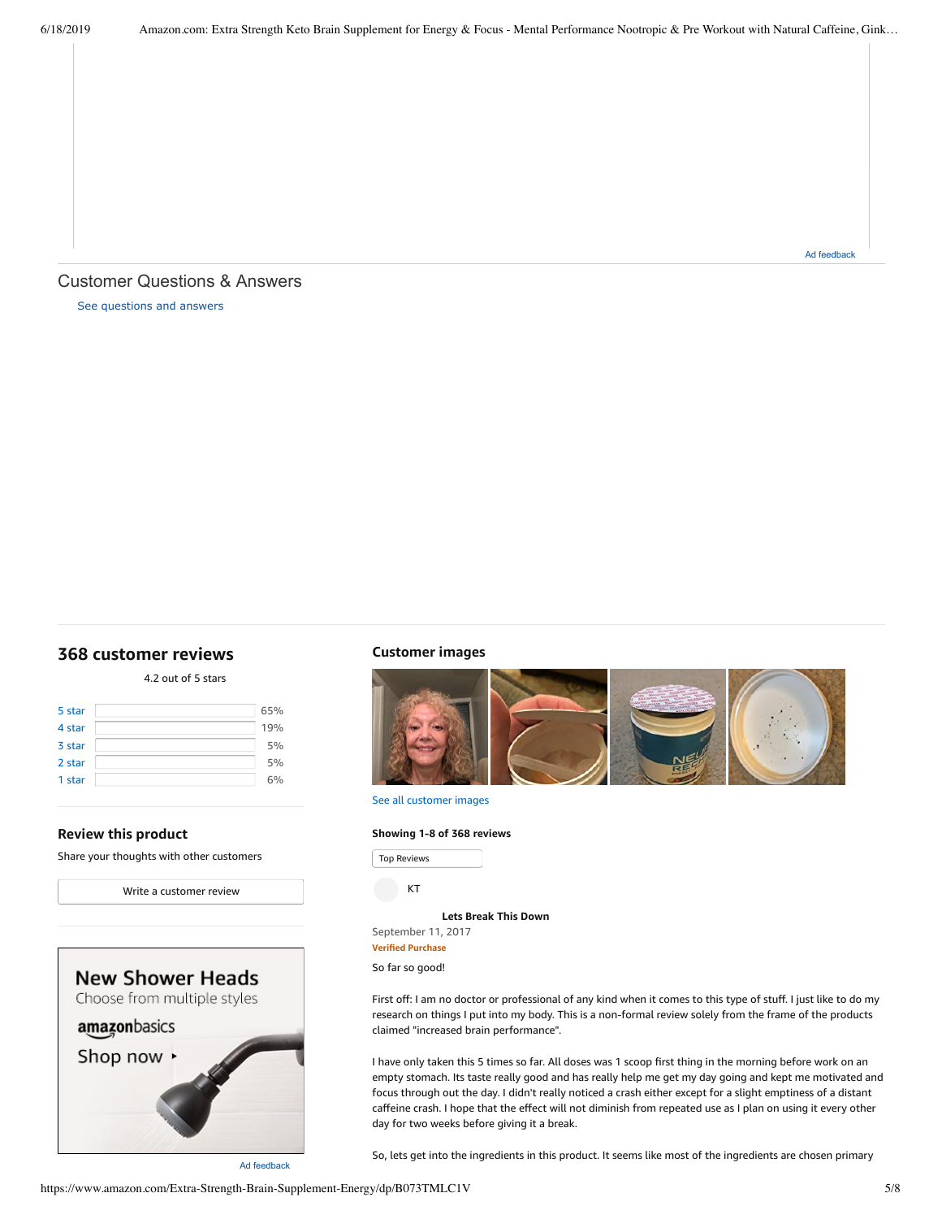## <span id="page-4-1"></span>Customer Questions & Answers

[See questions and answers](https://www.amazon.com/ask/questions/asin/B07RKY72PG/ref=cm_cd_dp_lla_ql_ll)

### <span id="page-4-0"></span>**[368 customer](https://www.amazon.com/Extra-Strength-Brain-Supplement-Energy/product-reviews/B07RKY72PG/ref=cm_cr_dp_d_show_all_top?ie=UTF8&reviewerType=all_reviews) reviews**

4.2 out of 5 [stars](javascript:void(0))

| 5 star | 65% |
|--------|-----|
| 4 star | 19% |
| 3 star | 5%  |
| 2 star | 5%  |
| 1 star | 6%  |

#### **Review this product**

Share your thoughts with other customers



**Customer images**



See all customer images

#### **Showing 1-8 of 368 reviews**

Top Reviews Top Reviews

KT

**Lets [Break](https://www.amazon.com/gp/customer-reviews/R2XQSYVI6DIW2Z/ref=cm_cr_dp_d_rvw_ttl?ie=UTF8&ASIN=B07RKY72PG) This Down**

September 11, 2017

**Verified Purchase**

So far so good!

First off: I am no doctor or professional of any kind when it comes to this type of stuff. I just like to do my research on things I put into my body. This is a non-formal review solely from the frame of the products claimed "increased brain performance".

I have only taken this 5 times so far. All doses was 1 scoop first thing in the morning before work on an empty stomach. Its taste really good and has really help me get my day going and kept me motivated and focus through out the day. I didn't really noticed a crash either except for a slight emptiness of a distant caffeine crash. I hope that the effect will not diminish from repeated use as I plan on using it every other day for two weeks before giving it a break.

So, lets get into the ingredients in this product. It seems like most of the ingredients are chosen primary

https://www.amazon.com/Extra-Strength-Brain-Supplement-Energy/dp/B073TMLC1V 5/8

Ad feedback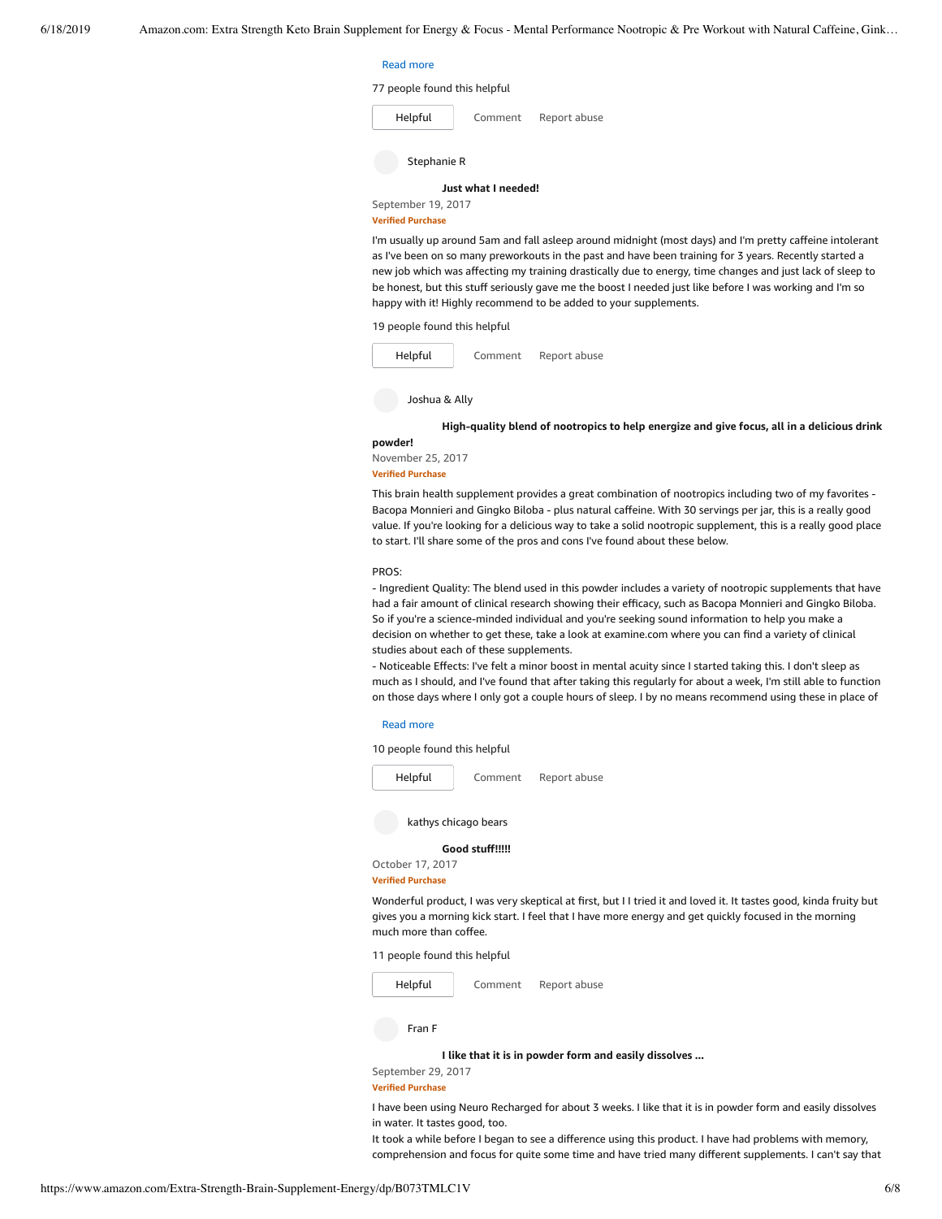#### $\mathsf{Read\ more\ }$

#### 77 people found this helpful

| Helpful             | Comment | Report abuse |  |  |
|---------------------|---------|--------------|--|--|
| Stephanie R         |         |              |  |  |
| Just what I needed! |         |              |  |  |
| Sentember 19, 2017  |         |              |  |  |

**Verified Purchase**

I'm usually up around 5am and fall asleep around midnight (most days) and I'm pretty caffeine intolerant as I've been on so many preworkouts in the past and have been training for 3 years. Recently started a new job which was affecting my training drastically due to energy, time changes and just lack of sleep to be honest, but this stuff seriously gave me the boost I needed just like before I was working and I'm so happy with it! Highly recommend to be added to your supplements.

19 people found this helpful

| Helpful | Comment | Report abuse |
|---------|---------|--------------|
|         |         |              |

Joshua & Ally

**[High-quality](https://www.amazon.com/gp/customer-reviews/R370WNCO0XYCRN/ref=cm_cr_dp_d_rvw_ttl?ie=UTF8&ASIN=B07RKY72PG) blend of nootropics to help energize and give focus, all in a delicious drink**

#### **powder!**

November 25, 2017

#### **Verified Purchase**

This brain health supplement provides a great combination of nootropics including two of my favorites - Bacopa Monnieri and Gingko Biloba - plus natural caffeine. With 30 servings per jar, this is a really good value. If you're looking for a delicious way to take a solid nootropic supplement, this is a really good place to start. I'll share some of the pros and cons I've found about these below.

#### PROS:

- Ingredient Quality: The blend used in this powder includes a variety of nootropic supplements that have had a fair amount of clinical research showing their efficacy, such as Bacopa Monnieri and Gingko Biloba. So if you're a science-minded individual and you're seeking sound information to help you make a decision on whether to get these, take a look at examine.com where you can find a variety of clinical studies about each of these supplements.

- Noticeable Effects: I've felt a minor boost in mental acuity since I started taking this. I don't sleep as much as I should, and I've found that after taking this regularly for about a week, I'm still able to function on those days where I only got a couple hours of sleep. I by no means recommend using these in place of

#### make. Read [more](javascript:void(0))

10 people found this helpful



kathys chicago bears

### **Good [stuff!!!!!](https://www.amazon.com/gp/customer-reviews/R15UYXCXA1KZ41/ref=cm_cr_dp_d_rvw_ttl?ie=UTF8&ASIN=B07RKY72PG)**

October 17, 2017 **Verified Purchase**

Wonderful product, I was very skeptical at first, but I I tried it and loved it. It tastes good, kinda fruity but gives you a morning kick start. I feel that I have more energy and get quickly focused in the morning much more than coffee.

11 people found this helpful



Fran F

**I like that it is in powder form and easily [dissolves](https://www.amazon.com/gp/customer-reviews/R2ZP1FXXRHHIIP/ref=cm_cr_dp_d_rvw_ttl?ie=UTF8&ASIN=B07RKY72PG) ...**

September 29, 2017 **Verified Purchase**

I have been using Neuro Recharged for about 3 weeks. I like that it is in powder form and easily dissolves in water. It tastes good, too.

It took a while before I began to see a difference using this product. I have had problems with memory, comprehension and focus for quite some time and have tried many different supplements. I can't say that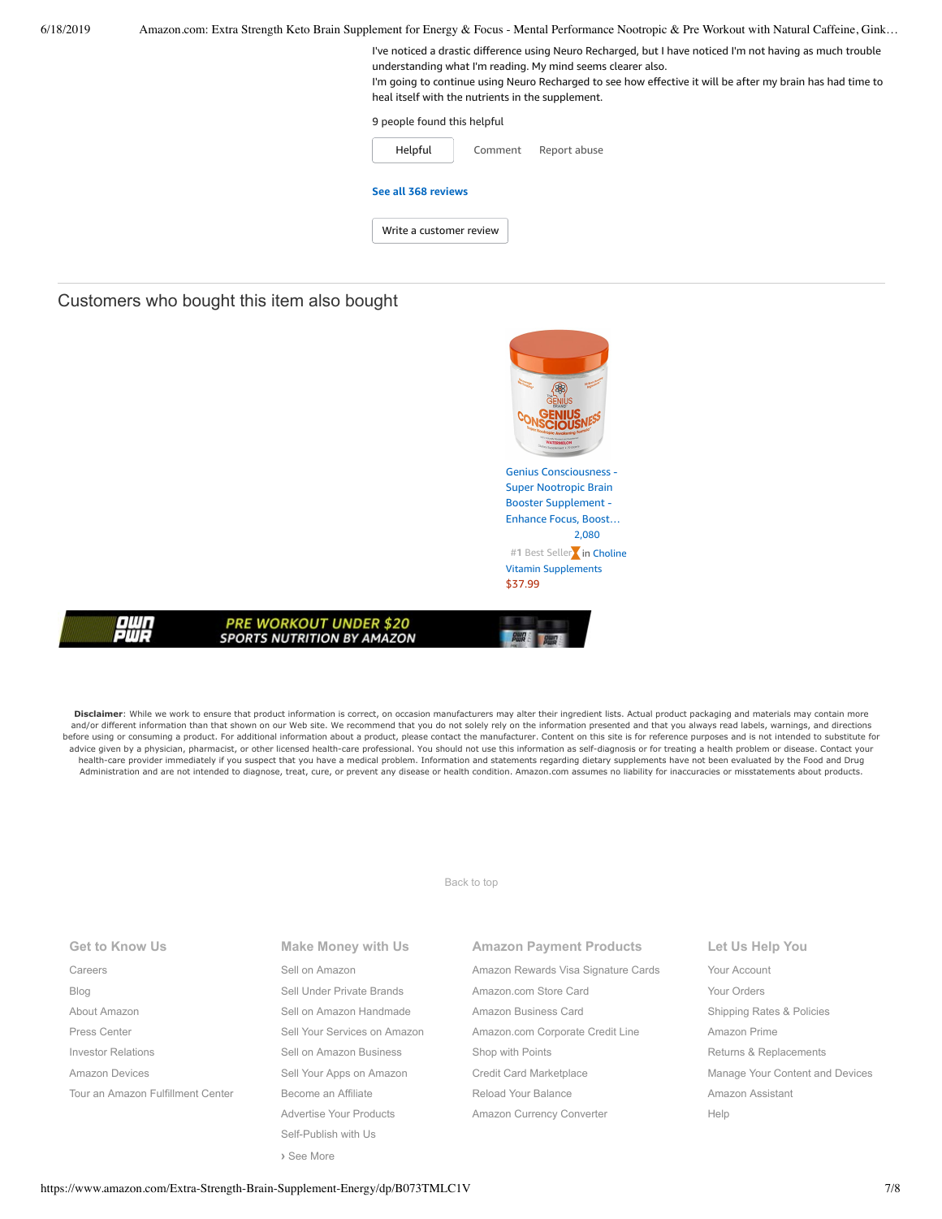| 6/18/2019 | Amazon.com: Extra Strength Keto Brain Supplement for Energy & Focus - Mental Performance Nootropic & Pre Workout with Natural Caffeine, Gink                                                                                                                                                                                                 |
|-----------|----------------------------------------------------------------------------------------------------------------------------------------------------------------------------------------------------------------------------------------------------------------------------------------------------------------------------------------------|
|           | I've noticed a drastic difference using Neuro Recharged, but I have noticed I'm not having as much trouble<br>understanding what I'm reading. My mind seems clearer also.<br>I'm going to continue using Neuro Recharged to see how effective it will be after my brain has had time to<br>heal itself with the nutrients in the supplement. |
|           | 9 people found this helpful                                                                                                                                                                                                                                                                                                                  |
|           | Helpful<br>Report abuse<br>Comment                                                                                                                                                                                                                                                                                                           |
|           | See all 368 reviews                                                                                                                                                                                                                                                                                                                          |
|           | Write a customer review                                                                                                                                                                                                                                                                                                                      |
|           |                                                                                                                                                                                                                                                                                                                                              |

## Customers who bought this item also bought

|                                                                    | <b><i>WATERMELON</i></b><br>TOY Supplement . 79 Grant |
|--------------------------------------------------------------------|-------------------------------------------------------|
|                                                                    | <b>Genius Consciousness -</b>                         |
|                                                                    | <b>Super Nootropic Brain</b>                          |
|                                                                    | <b>Booster Supplement -</b>                           |
|                                                                    | Enhance Focus, Boost                                  |
|                                                                    | 2,080                                                 |
|                                                                    | #1 Best Seller in Choline                             |
|                                                                    | <b>Vitamin Supplements</b>                            |
|                                                                    | \$37.99                                               |
|                                                                    |                                                       |
| <b>PRE WORKOUT UNDER \$20</b><br><b>SPORTS NUTRITION BY AMAZON</b> |                                                       |

Disclaimer: While we work to ensure that product information is correct, on occasion manufacturers may alter their ingredient lists. Actual product packaging and materials may contain more and/or different information than that shown on our Web site. We recommend that you do not solely rely on the information presented and that you always read labels, warnings, and directions<br>before using or consuming a prod advice given by a physician, pharmacist, or other licensed health-care professional. You should not use this information as self-diagnosis or for treating a health problem or disease. Contact your health-care provider immediately if you suspect that you have a medical problem. Information and statements regarding dietary supplements have not been evaluated by the Food and Drug Administration and are not intended to diagnose, treat, cure, or prevent any disease or health condition. Amazon.com assumes no liability for inaccuracies or misstatements about products.

[Back to top](#page-0-0)

| <b>Get to Know Us</b> |  |
|-----------------------|--|
|                       |  |

[Careers](https://www.amazon.jobs/) [Blog](https://blog.aboutamazon.com/?utm_source=gateway&utm_medium=footer) [About Amazon](https://www.aboutamazon.com/?utm_source=gateway&utm_medium=footer) [Press Center](https://www.amazon.com/pr) [Investor Relations](https://www.amazon.com/ir) [Amazon Devices](https://www.amazon.com/amazon-devices/b?ie=UTF8&node=2102313011&ref_=footer_devices) [Tour an Amazon Fulfillment Center](https://www.aboutamazon.com/amazon-fulfillment-center-tours?utm_source=gateway&utm_medium=footer&utm_campaign=fctours) **Make Money with Us** [Sell on Amazon](https://www.amazon.com/gp/redirect.html?_encoding=UTF8&location=https%3A%2F%2Fservices.amazon.com%2Fcontent%2Fsell-on-amazon.htm%2Fref%3Dfooter_soa%3Fld%3DAZFSSOA%26ref_%3Dfooter_soa&source=standards&token=1CC2E60AAEEFD9613C04037E8F5AFD0F4D90DC5B) [Sell Under Private Brands](https://www.amazon.com/l/ref=map_1_b2b_GW_FT?node=17882322011) [Sell on Amazon Handmade](https://www.amazon.com/gp/redirect.html?_encoding=UTF8&location=https%3A%2F%2Fservices.amazon.com%2Fhandmade%2Fhandmade.html%3Fld%3DAZUSHNDFooter%26ref_%3Dfooter_soa&source=standards&token=3B063664DF1F3D449986FD6D04FA7404D76C339B) [Sell Your Services on Amazon](https://www.amazon.com/gp/redirect.html?_encoding=UTF8&location=https%3A%2F%2Fservices.amazon.com%2Fselling-services%2Fbenefits.htm%3Fld%3DAZUSVAS-globalfooter%26ref_%3Dfooter_sell_svcs&source=standards&token=E93858F0E946F93FEAC7F36EFB8E10F5C54CDBFC) [Sell on Amazon Business](https://services.amazon.com/amazon-business.html?ld=usb2bunifooter) [Sell Your Apps on Amazon](https://developer.amazon.com/) [Become an Affiliate](https://affiliate-program.amazon.com/) [Advertise Your Products](https://advertising.amazon.com/?ref=ext_amzn_ftr) Self-Publish with Us **›** [See More](https://www.amazon.com/b/?_encoding=UTF8&ld=AZUSSOA-seemore&node=18190131011&ref_=footer_seemore)

# **Amazon Payment Products**

- [Amazon Rewards Visa Signature Cards](https://www.amazon.com/iss/credit/rewardscardmember?_encoding=UTF8&plattr=CBFOOT&ref_=footer_cbcc) [Amazon.com Store Card](https://www.amazon.com/iss/credit/storecardmember?_encoding=UTF8&plattr=PLCCFOOT&ref_=footer_plcc) [Amazon Business Card](https://www.amazon.com/dp/B07984JN3L?_encoding=UTF8&ie=UTF-8&plattr=ACOMFO) [Amazon.com Corporate Credit Line](https://www.amazon.com/dp/B07CBJQS16?_encoding=UTF8&ie=UTF-8&place=camp&plattr=CCLFOOT&pr=ibprox&ref_=footer_ccl) [Shop with Points](https://www.amazon.com/b?ie=UTF8&node=16218619011&ref_=footer_swp) [Credit Card Marketplace](https://www.amazon.com/compare-credit-card-offers/b?ie=UTF8&node=3561432011&ref_=footer_ccmp) [Reload Your Balance](https://www.amazon.com/Reload-Your-Gift-Card-Balance/b?ie=UTF8&node=10232440011&ref_=footer_reload_us) [Amazon Currency Converter](https://www.amazon.com/Currency-Converter/b?ie=UTF8&node=388305011&ref_=footer_tfx)
- **Let Us Help You** [Your Account](https://www.amazon.com/gp/css/homepage.html?ie=UTF8&ref_=footer_ya) [Your Orders](https://www.amazon.com/gp/css/order-history?ie=UTF8&ref_=footer_yo) [Shipping Rates & Policies](https://www.amazon.com/gp/help/customer/display.html?ie=UTF8&nodeId=468520&ref_=footer_shiprates) [Amazon Prime](https://www.amazon.com/gp/prime?ie=UTF8&ref_=footer_prime) [Returns & Replacements](https://www.amazon.com/gp/css/returns/homepage.html?ie=UTF8&ref_=footer_hy_f_4) [Manage Your Content and Devices](https://www.amazon.com/gp/digital/fiona/manage?ie=UTF8&ref_=footer_myk) [Amazon Assistant](https://www.amazon.com/gp/BIT/ref=footer_bit_v2_us_A0029?bitCampaignCode=A0029) [Help](https://www.amazon.com/gp/help/customer/display.html?ie=UTF8&nodeId=508510&ref_=footer_gw_m_b_he)